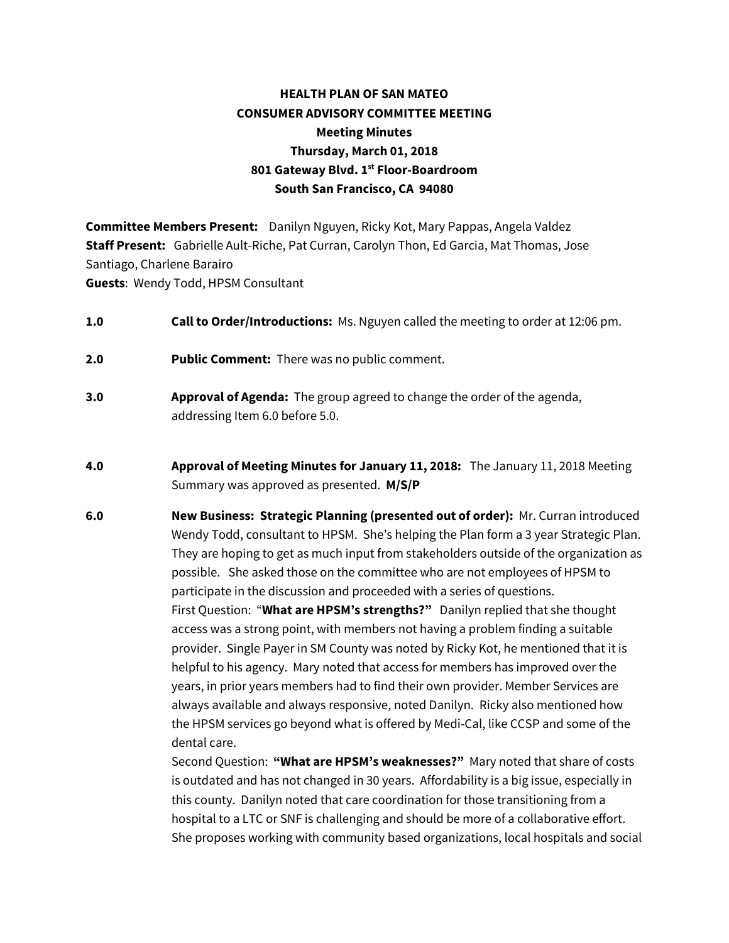# **HEALTH PLAN OF SAN MATEO CONSUMER ADVISORY COMMITTEE MEETING Meeting Minutes Thursday, March 01, 2018 801 Gateway Blvd. 1st Floor-Boardroom South San Francisco, CA 94080**

**Committee Members Present:** Danilyn Nguyen, Ricky Kot, Mary Pappas, Angela Valdez **Staff Present:** Gabrielle Ault-Riche, Pat Curran, Carolyn Thon, Ed Garcia, Mat Thomas, Jose Santiago, Charlene Barairo **Guests**: Wendy Todd, HPSM Consultant

- **1.0 Call to Order/Introductions:** Ms. Nguyen called the meeting to order at 12:06 pm.
- **2.0 Public Comment:** There was no public comment.
- **3.0 Approval of Agenda:** The group agreed to change the order of the agenda, addressing Item 6.0 before 5.0.
- **4.0 Approval of Meeting Minutes for January 11, 2018:** The January 11, 2018 Meeting Summary was approved as presented. **M/S/P**
- **6.0 New Business: Strategic Planning (presented out of order):** Mr. Curran introduced Wendy Todd, consultant to HPSM. She's helping the Plan form a 3 year Strategic Plan. They are hoping to get as much input from stakeholders outside of the organization as possible. She asked those on the committee who are not employees of HPSM to participate in the discussion and proceeded with a series of questions. First Question: "**What are HPSM's strengths?"** Danilyn replied that she thought access was a strong point, with members not having a problem finding a suitable provider. Single Payer in SM County was noted by Ricky Kot, he mentioned that it is helpful to his agency. Mary noted that access for members has improved over the years, in prior years members had to find their own provider. Member Services are always available and always responsive, noted Danilyn. Ricky also mentioned how the HPSM services go beyond what is offered by Medi-Cal, like CCSP and some of the dental care.

Second Question: **"What are HPSM's weaknesses?"** Mary noted that share of costs is outdated and has not changed in 30 years. Affordability is a big issue, especially in this county. Danilyn noted that care coordination for those transitioning from a hospital to a LTC or SNF is challenging and should be more of a collaborative effort. She proposes working with community based organizations, local hospitals and social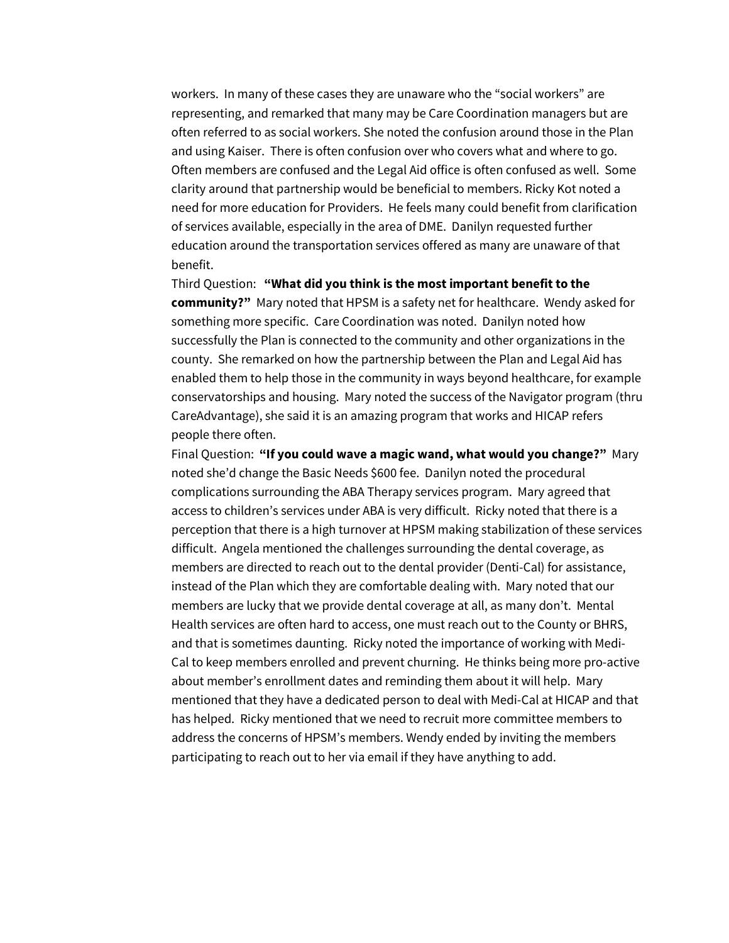workers. In many of these cases they are unaware who the "social workers" are representing, and remarked that many may be Care Coordination managers but are often referred to as social workers. She noted the confusion around those in the Plan and using Kaiser. There is often confusion over who covers what and where to go. Often members are confused and the Legal Aid office is often confused as well. Some clarity around that partnership would be beneficial to members. Ricky Kot noted a need for more education for Providers. He feels many could benefit from clarification of services available, especially in the area of DME. Danilyn requested further education around the transportation services offered as many are unaware of that benefit.

Third Question: **"What did you think is the most important benefit to the community?"** Mary noted that HPSM is a safety net for healthcare. Wendy asked for something more specific. Care Coordination was noted. Danilyn noted how successfully the Plan is connected to the community and other organizations in the county. She remarked on how the partnership between the Plan and Legal Aid has enabled them to help those in the community in ways beyond healthcare, for example conservatorships and housing. Mary noted the success of the Navigator program (thru CareAdvantage), she said it is an amazing program that works and HICAP refers people there often.

Final Question: **"If you could wave a magic wand, what would you change?"** Mary noted she'd change the Basic Needs \$600 fee. Danilyn noted the procedural complications surrounding the ABA Therapy services program. Mary agreed that access to children's services under ABA is very difficult. Ricky noted that there is a perception that there is a high turnover at HPSM making stabilization of these services difficult. Angela mentioned the challenges surrounding the dental coverage, as members are directed to reach out to the dental provider (Denti-Cal) for assistance, instead of the Plan which they are comfortable dealing with. Mary noted that our members are lucky that we provide dental coverage at all, as many don't. Mental Health services are often hard to access, one must reach out to the County or BHRS, and that is sometimes daunting. Ricky noted the importance of working with Medi-Cal to keep members enrolled and prevent churning. He thinks being more pro-active about member's enrollment dates and reminding them about it will help. Mary mentioned that they have a dedicated person to deal with Medi-Cal at HICAP and that has helped. Ricky mentioned that we need to recruit more committee members to address the concerns of HPSM's members. Wendy ended by inviting the members participating to reach out to her via email if they have anything to add.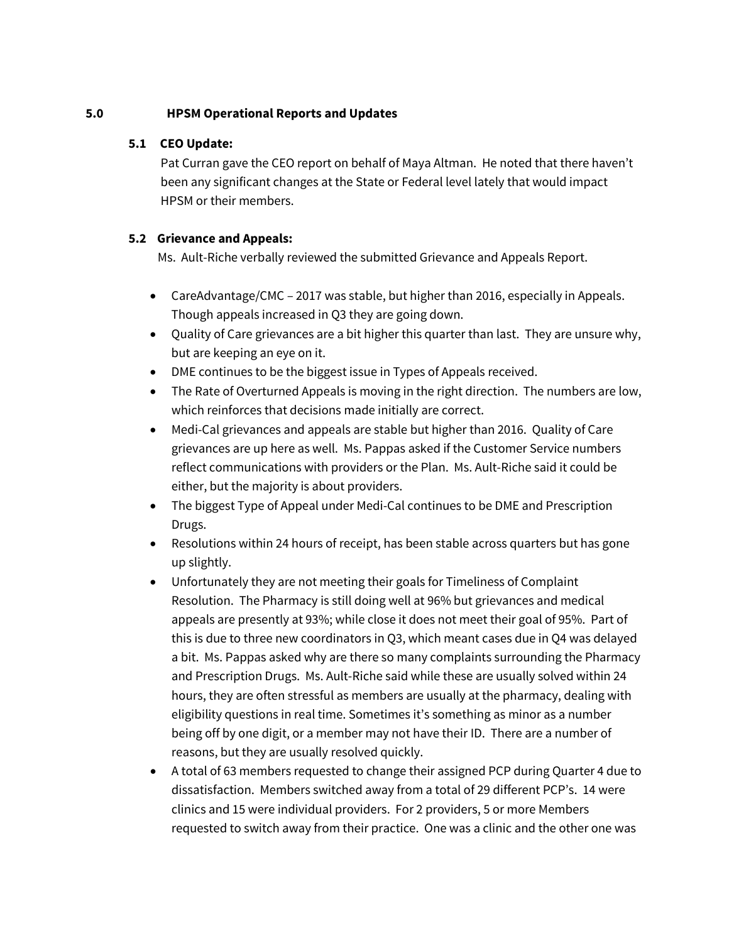## **5.0 HPSM Operational Reports and Updates**

#### **5.1 CEO Update:**

Pat Curran gave the CEO report on behalf of Maya Altman. He noted that there haven't been any significant changes at the State or Federal level lately that would impact HPSM or their members.

#### **5.2 Grievance and Appeals:**

Ms. Ault-Riche verbally reviewed the submitted Grievance and Appeals Report.

- CareAdvantage/CMC 2017 was stable, but higher than 2016, especially in Appeals. Though appeals increased in Q3 they are going down.
- Quality of Care grievances are a bit higher this quarter than last. They are unsure why, but are keeping an eye on it.
- DME continues to be the biggest issue in Types of Appeals received.
- The Rate of Overturned Appeals is moving in the right direction. The numbers are low, which reinforces that decisions made initially are correct.
- Medi-Cal grievances and appeals are stable but higher than 2016. Quality of Care grievances are up here as well. Ms. Pappas asked if the Customer Service numbers reflect communications with providers or the Plan. Ms. Ault-Riche said it could be either, but the majority is about providers.
- The biggest Type of Appeal under Medi-Cal continues to be DME and Prescription Drugs.
- Resolutions within 24 hours of receipt, has been stable across quarters but has gone up slightly.
- Unfortunately they are not meeting their goals for Timeliness of Complaint Resolution. The Pharmacy is still doing well at 96% but grievances and medical appeals are presently at 93%; while close it does not meet their goal of 95%. Part of this is due to three new coordinators in Q3, which meant cases due in Q4 was delayed a bit. Ms. Pappas asked why are there so many complaints surrounding the Pharmacy and Prescription Drugs. Ms. Ault-Riche said while these are usually solved within 24 hours, they are often stressful as members are usually at the pharmacy, dealing with eligibility questions in real time. Sometimes it's something as minor as a number being off by one digit, or a member may not have their ID. There are a number of reasons, but they are usually resolved quickly.
- A total of 63 members requested to change their assigned PCP during Quarter 4 due to dissatisfaction. Members switched away from a total of 29 different PCP's. 14 were clinics and 15 were individual providers. For 2 providers, 5 or more Members requested to switch away from their practice. One was a clinic and the other one was